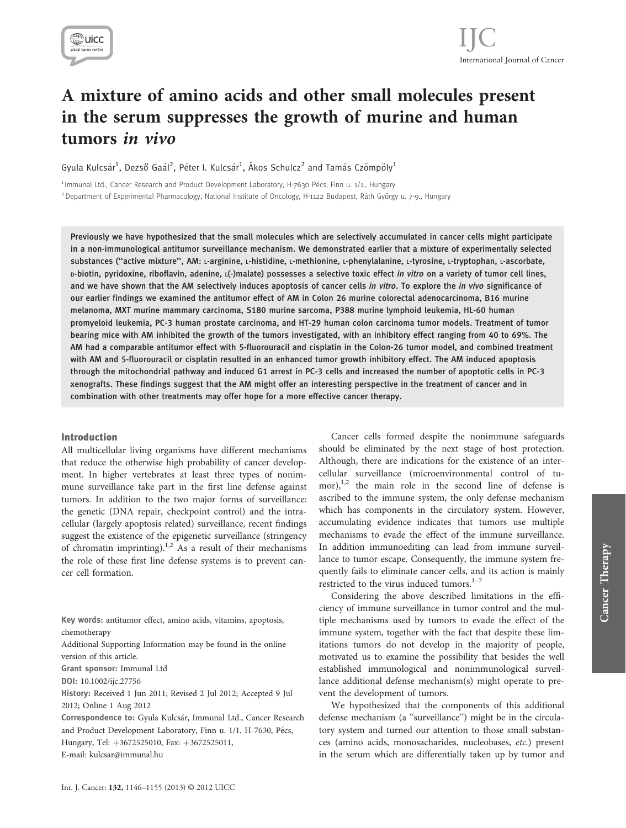

# A mixture of amino acids and other small molecules present in the serum suppresses the growth of murine and human tumors in vivo

Gyula Kulcsár<sup>1</sup>, Dezső Gaál<sup>2</sup>, Péter I. Kulcsár<sup>1</sup>, Ákos Schulcz<sup>2</sup> and Tamás Czömpöly<sup>1</sup>

<sup>1</sup> Immunal Ltd., Cancer Research and Product Development Laboratory, H-7630 Pécs, Finn u. 1/1., Hungary <sup>2</sup> Department of Experimental Pharmacology, National Institute of Oncology, H-1122 Budapest, Ráth György u. 7-9., Hungary

Previously we have hypothesized that the small molecules which are selectively accumulated in cancer cells might participate in a non-immunological antitumor surveillance mechanism. We demonstrated earlier that a mixture of experimentally selected substances ("active mixture", AM: L-arginine, L-histidine, L-methionine, L-phenylalanine, L-tyrosine, L-tryptophan, L-ascorbate, D-biotin, pyridoxine, riboflavin, adenine, L(-)malate) possesses a selective toxic effect in vitro on a variety of tumor cell lines, and we have shown that the AM selectively induces apoptosis of cancer cells in vitro. To explore the in vivo significance of our earlier findings we examined the antitumor effect of AM in Colon 26 murine colorectal adenocarcinoma, B16 murine melanoma, MXT murine mammary carcinoma, S180 murine sarcoma, P388 murine lymphoid leukemia, HL-60 human promyeloid leukemia, PC-3 human prostate carcinoma, and HT-29 human colon carcinoma tumor models. Treatment of tumor bearing mice with AM inhibited the growth of the tumors investigated, with an inhibitory effect ranging from 40 to 69%. The AM had a comparable antitumor effect with 5-fluorouracil and cisplatin in the Colon-26 tumor model, and combined treatment with AM and 5-fluorouracil or cisplatin resulted in an enhanced tumor growth inhibitory effect. The AM induced apoptosis through the mitochondrial pathway and induced G1 arrest in PC-3 cells and increased the number of apoptotic cells in PC-3 xenografts. These findings suggest that the AM might offer an interesting perspective in the treatment of cancer and in combination with other treatments may offer hope for a more effective cancer therapy.

# Introduction

All multicellular living organisms have different mechanisms that reduce the otherwise high probability of cancer development. In higher vertebrates at least three types of nonimmune surveillance take part in the first line defense against tumors. In addition to the two major forms of surveillance: the genetic (DNA repair, checkpoint control) and the intracellular (largely apoptosis related) surveillance, recent findings suggest the existence of the epigenetic surveillance (stringency of chromatin imprinting).<sup>1,2</sup> As a result of their mechanisms the role of these first line defense systems is to prevent cancer cell formation.

Key words: antitumor effect, amino acids, vitamins, apoptosis, chemotherapy

Additional Supporting Information may be found in the online version of this article.

Grant sponsor: Immunal Ltd

DOI: 10.1002/ijc.27756

History: Received 1 Jun 2011; Revised 2 Jul 2012; Accepted 9 Jul 2012; Online 1 Aug 2012

Correspondence to: Gyula Kulcsár, Immunal Ltd., Cancer Research and Product Development Laboratory, Finn u. 1/1, H-7630, Pécs, Hungary, Tel:  $+3672525010$ , Fax:  $+3672525011$ , E-mail: kulcsar@immunal.hu

Cancer cells formed despite the nonimmune safeguards should be eliminated by the next stage of host protection. Although, there are indications for the existence of an intercellular surveillance (microenvironmental control of tumor),<sup>1,2</sup> the main role in the second line of defense is ascribed to the immune system, the only defense mechanism which has components in the circulatory system. However, accumulating evidence indicates that tumors use multiple mechanisms to evade the effect of the immune surveillance. In addition immunoediting can lead from immune surveillance to tumor escape. Consequently, the immune system frequently fails to eliminate cancer cells, and its action is mainly restricted to the virus induced tumors. $1-7$ 

Considering the above described limitations in the efficiency of immune surveillance in tumor control and the multiple mechanisms used by tumors to evade the effect of the immune system, together with the fact that despite these limitations tumors do not develop in the majority of people, motivated us to examine the possibility that besides the well established immunological and nonimmunological surveillance additional defense mechanism(s) might operate to prevent the development of tumors.

We hypothesized that the components of this additional defense mechanism (a ''surveillance'') might be in the circulatory system and turned our attention to those small substances (amino acids, monosacharides, nucleobases, etc.) present in the serum which are differentially taken up by tumor and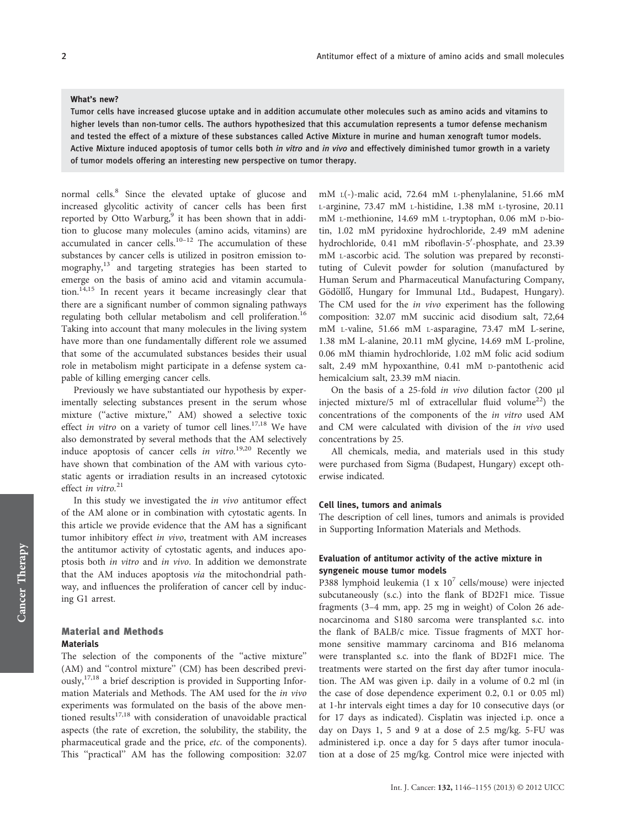#### What's new?

Tumor cells have increased glucose uptake and in addition accumulate other molecules such as amino acids and vitamins to higher levels than non-tumor cells. The authors hypothesized that this accumulation represents a tumor defense mechanism and tested the effect of a mixture of these substances called Active Mixture in murine and human xenograft tumor models. Active Mixture induced apoptosis of tumor cells both in vitro and in vivo and effectively diminished tumor growth in a variety of tumor models offering an interesting new perspective on tumor therapy.

normal cells.<sup>8</sup> Since the elevated uptake of glucose and increased glycolitic activity of cancer cells has been first reported by Otto Warburg,<sup>9</sup> it has been shown that in addition to glucose many molecules (amino acids, vitamins) are accumulated in cancer cells. $10-12$  The accumulation of these substances by cancer cells is utilized in positron emission tomography,<sup>13</sup> and targeting strategies has been started to emerge on the basis of amino acid and vitamin accumulation.<sup>14,15</sup> In recent years it became increasingly clear that there are a significant number of common signaling pathways regulating both cellular metabolism and cell proliferation.<sup>16</sup> Taking into account that many molecules in the living system have more than one fundamentally different role we assumed that some of the accumulated substances besides their usual role in metabolism might participate in a defense system capable of killing emerging cancer cells.

Previously we have substantiated our hypothesis by experimentally selecting substances present in the serum whose mixture (''active mixture,'' AM) showed a selective toxic effect in vitro on a variety of tumor cell lines.<sup>17,18</sup> We have also demonstrated by several methods that the AM selectively induce apoptosis of cancer cells in vitro.<sup>19,20</sup> Recently we have shown that combination of the AM with various cytostatic agents or irradiation results in an increased cytotoxic effect in vitro.<sup>21</sup>

In this study we investigated the in vivo antitumor effect of the AM alone or in combination with cytostatic agents. In this article we provide evidence that the AM has a significant tumor inhibitory effect in vivo, treatment with AM increases the antitumor activity of cytostatic agents, and induces apoptosis both in vitro and in vivo. In addition we demonstrate that the AM induces apoptosis via the mitochondrial pathway, and influences the proliferation of cancer cell by inducing G1 arrest.

#### Material and Methods **Materials**

The selection of the components of the ''active mixture'' (AM) and ''control mixture'' (CM) has been described previously,  $17,18$  a brief description is provided in Supporting Information Materials and Methods. The AM used for the in vivo experiments was formulated on the basis of the above mentioned results $17,18$  with consideration of unavoidable practical aspects (the rate of excretion, the solubility, the stability, the pharmaceutical grade and the price, etc. of the components). This ''practical'' AM has the following composition: 32.07

mM L(-)-malic acid, 72.64 mM L-phenylalanine, 51.66 mM L-arginine, 73.47 mM L-histidine, 1.38 mM L-tyrosine, 20.11 mM L-methionine, 14.69 mM L-tryptophan, 0.06 mM D-biotin, 1.02 mM pyridoxine hydrochloride, 2.49 mM adenine hydrochloride, 0.41 mM riboflavin-5'-phosphate, and 23.39 mM L-ascorbic acid. The solution was prepared by reconstituting of Culevit powder for solution (manufactured by Human Serum and Pharmaceutical Manufacturing Company, Gödöllő, Hungary for Immunal Ltd., Budapest, Hungary). The CM used for the in vivo experiment has the following composition: 32.07 mM succinic acid disodium salt, 72,64 mM L-valine, 51.66 mM L-asparagine, 73.47 mM L-serine, 1.38 mM L-alanine, 20.11 mM glycine, 14.69 mM L-proline, 0.06 mM thiamin hydrochloride, 1.02 mM folic acid sodium salt, 2.49 mM hypoxanthine, 0.41 mM D-pantothenic acid hemicalcium salt, 23.39 mM niacin.

On the basis of a 25-fold in vivo dilution factor  $(200 \mu l)$ injected mixture/5 ml of extracellular fluid volume<sup>22</sup>) the concentrations of the components of the in vitro used AM and CM were calculated with division of the in vivo used concentrations by 25.

All chemicals, media, and materials used in this study were purchased from Sigma (Budapest, Hungary) except otherwise indicated.

#### Cell lines, tumors and animals

The description of cell lines, tumors and animals is provided in Supporting Information Materials and Methods.

# Evaluation of antitumor activity of the active mixture in syngeneic mouse tumor models

P388 lymphoid leukemia (1 x  $10^7$  cells/mouse) were injected subcutaneously (s.c.) into the flank of BD2F1 mice. Tissue fragments (3–4 mm, app. 25 mg in weight) of Colon 26 adenocarcinoma and S180 sarcoma were transplanted s.c. into the flank of BALB/c mice. Tissue fragments of MXT hormone sensitive mammary carcinoma and B16 melanoma were transplanted s.c. into the flank of BD2F1 mice. The treatments were started on the first day after tumor inoculation. The AM was given i.p. daily in a volume of 0.2 ml (in the case of dose dependence experiment 0.2, 0.1 or 0.05 ml) at 1-hr intervals eight times a day for 10 consecutive days (or for 17 days as indicated). Cisplatin was injected i.p. once a day on Days 1, 5 and 9 at a dose of 2.5 mg/kg. 5-FU was administered i.p. once a day for 5 days after tumor inoculation at a dose of 25 mg/kg. Control mice were injected with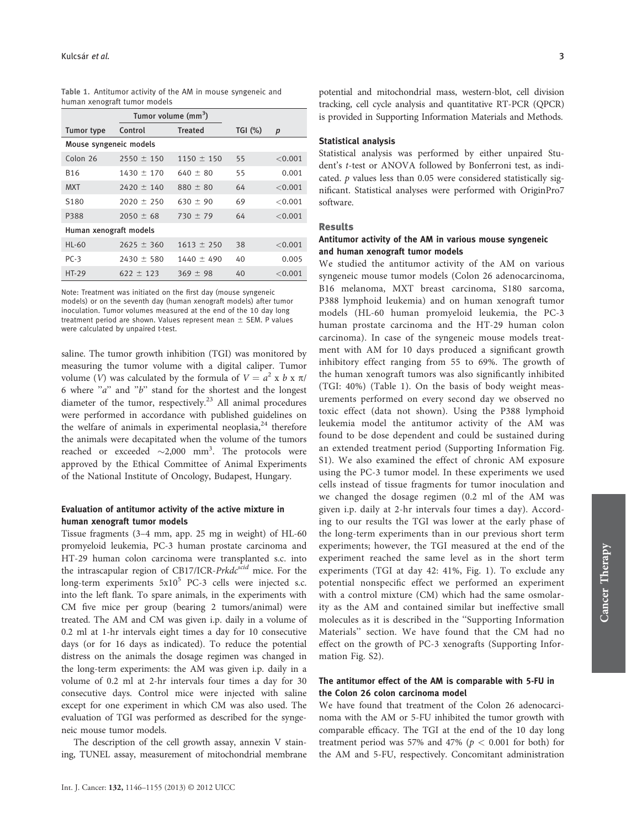|                        | Tumor volume (mm <sup>3</sup> ) |                |         |                  |
|------------------------|---------------------------------|----------------|---------|------------------|
| Tumor type             | Control                         | <b>Treated</b> | TGI (%) | $\boldsymbol{p}$ |
| Mouse syngeneic models |                                 |                |         |                  |
| Colon 26               | $2550 \pm 150$                  | $1150 \pm 150$ | 55      | < 0.001          |
| B16                    | $1430 \pm 170$                  | $640 \pm 80$   | 55      | 0.001            |
| <b>MXT</b>             | $2420 \pm 140$                  | $880 \pm 80$   | 64      | < 0.001          |
| S <sub>180</sub>       | $2020 \pm 250$                  | $630 \pm 90$   | 69      | < 0.001          |
| P388                   | $2050 \pm 68$                   | $730 \pm 79$   | 64      | < 0.001          |
| Human xenograft models |                                 |                |         |                  |
| $HL-60$                | $2625 \pm 360$                  | $1613 \pm 250$ | 38      | < 0.001          |
| PC-3                   | $2430 \pm 580$                  | $1440 \pm 490$ | 40      | 0.005            |
| HT-29                  | $622 \pm 123$                   | $369 \pm 98$   | 40      | < 0.001          |

Table 1. Antitumor activity of the AM in mouse syngeneic and human xenograft tumor models

Note: Treatment was initiated on the first day (mouse syngeneic models) or on the seventh day (human xenograft models) after tumor inoculation. Tumor volumes measured at the end of the 10 day long treatment period are shown. Values represent mean  $\pm$  SEM. P values were calculated by unpaired t-test.

saline. The tumor growth inhibition (TGI) was monitored by measuring the tumor volume with a digital caliper. Tumor volume (V) was calculated by the formula of  $V = a^2$  x b x  $\pi$ / 6 where " $a$ " and " $b$ " stand for the shortest and the longest diameter of the tumor, respectively.<sup>23</sup> All animal procedures were performed in accordance with published guidelines on the welfare of animals in experimental neoplasia, $24$  therefore the animals were decapitated when the volume of the tumors reached or exceeded  $\sim$ 2,000 mm<sup>3</sup>. The protocols were approved by the Ethical Committee of Animal Experiments of the National Institute of Oncology, Budapest, Hungary.

#### Evaluation of antitumor activity of the active mixture in human xenograft tumor models

Tissue fragments (3–4 mm, app. 25 mg in weight) of HL-60 promyeloid leukemia, PC-3 human prostate carcinoma and HT-29 human colon carcinoma were transplanted s.c. into the intrascapular region of CB17/ICR-Prkdc<sup>scid</sup> mice. For the long-term experiments  $5x10^5$  PC-3 cells were injected s.c. into the left flank. To spare animals, in the experiments with CM five mice per group (bearing 2 tumors/animal) were treated. The AM and CM was given i.p. daily in a volume of 0.2 ml at 1-hr intervals eight times a day for 10 consecutive days (or for 16 days as indicated). To reduce the potential distress on the animals the dosage regimen was changed in the long-term experiments: the AM was given i.p. daily in a volume of 0.2 ml at 2-hr intervals four times a day for 30 consecutive days. Control mice were injected with saline except for one experiment in which CM was also used. The evaluation of TGI was performed as described for the syngeneic mouse tumor models.

The description of the cell growth assay, annexin V staining, TUNEL assay, measurement of mitochondrial membrane potential and mitochondrial mass, western-blot, cell division tracking, cell cycle analysis and quantitative RT-PCR (QPCR) is provided in Supporting Information Materials and Methods.

#### Statistical analysis

Statistical analysis was performed by either unpaired Student's t-test or ANOVA followed by Bonferroni test, as indicated.  $p$  values less than 0.05 were considered statistically significant. Statistical analyses were performed with OriginPro7 software.

# Results

#### Antitumor activity of the AM in various mouse syngeneic and human xenograft tumor models

We studied the antitumor activity of the AM on various syngeneic mouse tumor models (Colon 26 adenocarcinoma, B16 melanoma, MXT breast carcinoma, S180 sarcoma, P388 lymphoid leukemia) and on human xenograft tumor models (HL-60 human promyeloid leukemia, the PC-3 human prostate carcinoma and the HT-29 human colon carcinoma). In case of the syngeneic mouse models treatment with AM for 10 days produced a significant growth inhibitory effect ranging from 55 to 69%. The growth of the human xenograft tumors was also significantly inhibited (TGI: 40%) (Table 1). On the basis of body weight measurements performed on every second day we observed no toxic effect (data not shown). Using the P388 lymphoid leukemia model the antitumor activity of the AM was found to be dose dependent and could be sustained during an extended treatment period (Supporting Information Fig. S1). We also examined the effect of chronic AM exposure using the PC-3 tumor model. In these experiments we used cells instead of tissue fragments for tumor inoculation and we changed the dosage regimen (0.2 ml of the AM was given i.p. daily at 2-hr intervals four times a day). According to our results the TGI was lower at the early phase of the long-term experiments than in our previous short term experiments; however, the TGI measured at the end of the experiment reached the same level as in the short term experiments (TGI at day 42: 41%, Fig. 1). To exclude any potential nonspecific effect we performed an experiment with a control mixture (CM) which had the same osmolarity as the AM and contained similar but ineffective small molecules as it is described in the ''Supporting Information Materials'' section. We have found that the CM had no effect on the growth of PC-3 xenografts (Supporting Information Fig. S2).

#### The antitumor effect of the AM is comparable with 5-FU in the Colon 26 colon carcinoma model

We have found that treatment of the Colon 26 adenocarcinoma with the AM or 5-FU inhibited the tumor growth with comparable efficacy. The TGI at the end of the 10 day long treatment period was 57% and 47% ( $p < 0.001$  for both) for the AM and 5-FU, respectively. Concomitant administration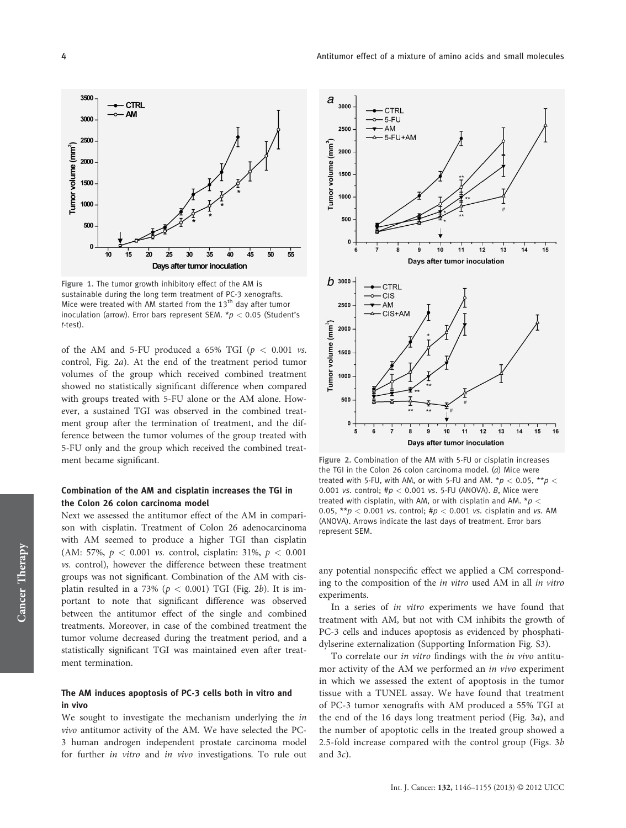

Tumor volume (mm<sup>3</sup>)

2000

1500

1000

500

 $\bf{0}$ 

 $10$ 

 $15$ 

Days after tumor inoculation Figure 1. The tumor growth inhibitory effect of the AM is sustainable during the long term treatment of PC-3 xenografts. Mice were treated with AM started from the 13<sup>th</sup> day after tumor inoculation (arrow). Error bars represent SEM.  $*p < 0.05$  (Student's t-test).

 $40$  $45$ 50

 $35$ 

żo  $25$   $\frac{1}{55}$ 

of the AM and 5-FU produced a 65% TGI ( $p < 0.001$  vs. control, Fig. 2a). At the end of the treatment period tumor volumes of the group which received combined treatment showed no statistically significant difference when compared with groups treated with 5-FU alone or the AM alone. However, a sustained TGI was observed in the combined treatment group after the termination of treatment, and the difference between the tumor volumes of the group treated with 5-FU only and the group which received the combined treatment became significant.

# Combination of the AM and cisplatin increases the TGI in the Colon 26 colon carcinoma model

Next we assessed the antitumor effect of the AM in comparison with cisplatin. Treatment of Colon 26 adenocarcinoma with AM seemed to produce a higher TGI than cisplatin (AM: 57%,  $p < 0.001$  vs. control, cisplatin: 31%,  $p < 0.001$ vs. control), however the difference between these treatment groups was not significant. Combination of the AM with cisplatin resulted in a 73% ( $p < 0.001$ ) TGI (Fig. 2b). It is important to note that significant difference was observed between the antitumor effect of the single and combined treatments. Moreover, in case of the combined treatment the tumor volume decreased during the treatment period, and a statistically significant TGI was maintained even after treatment termination.

#### The AM induces apoptosis of PC-3 cells both in vitro and in vivo

We sought to investigate the mechanism underlying the in vivo antitumor activity of the AM. We have selected the PC-3 human androgen independent prostate carcinoma model for further in vitro and in vivo investigations. To rule out



Figure 2. Combination of the AM with 5-FU or cisplatin increases the TGI in the Colon 26 colon carcinoma model. (a) Mice were treated with 5-FU, with AM, or with 5-FU and AM.  $*p < 0.05$ ,  $**p <$ 0.001 vs. control;  $\#p < 0.001$  vs. 5-FU (ANOVA). B, Mice were treated with cisplatin, with AM, or with cisplatin and AM.  $* p <$ 0.05,  $**p < 0.001$  vs. control; # $p < 0.001$  vs. cisplatin and vs. AM (ANOVA). Arrows indicate the last days of treatment. Error bars represent SEM.

any potential nonspecific effect we applied a CM corresponding to the composition of the in vitro used AM in all in vitro experiments.

In a series of in vitro experiments we have found that treatment with AM, but not with CM inhibits the growth of PC-3 cells and induces apoptosis as evidenced by phosphatidylserine externalization (Supporting Information Fig. S3).

To correlate our *in vitro* findings with the *in vivo* antitumor activity of the AM we performed an in vivo experiment in which we assessed the extent of apoptosis in the tumor tissue with a TUNEL assay. We have found that treatment of PC-3 tumor xenografts with AM produced a 55% TGI at the end of the 16 days long treatment period (Fig. 3a), and the number of apoptotic cells in the treated group showed a 2.5-fold increase compared with the control group (Figs. 3b and  $3c$ ).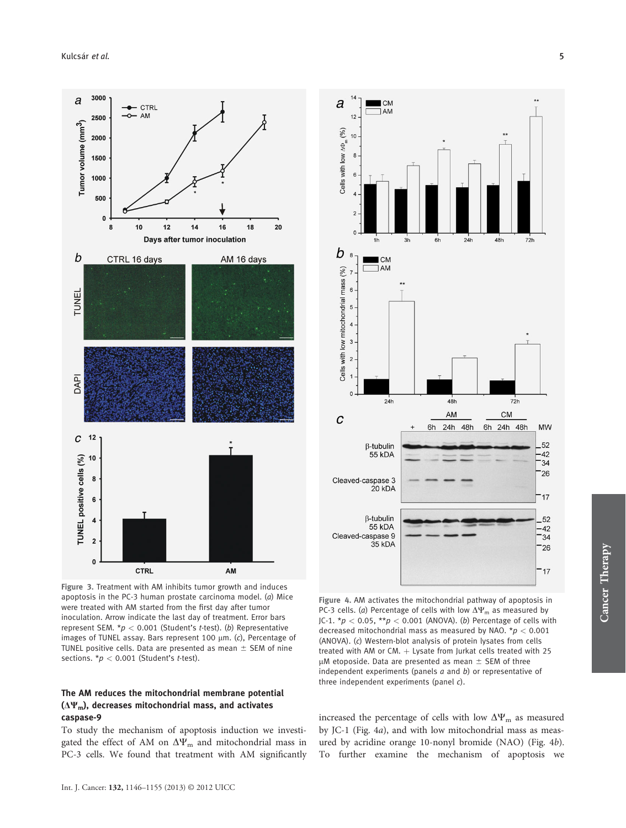



Figure 3. Treatment with AM inhibits tumor growth and induces apoptosis in the PC-3 human prostate carcinoma model. (a) Mice were treated with AM started from the first day after tumor inoculation. Arrow indicate the last day of treatment. Error bars represent SEM.  $* p < 0.001$  (Student's t-test). (b) Representative images of TUNEL assay. Bars represent 100  $\mu$ m. (c), Percentage of TUNEL positive cells. Data are presented as mean  $\pm$  SEM of nine sections.  $* p < 0.001$  (Student's t-test).

# The AM reduces the mitochondrial membrane potential  $(\Delta \Psi_m)$ , decreases mitochondrial mass, and activates caspase-9

To study the mechanism of apoptosis induction we investigated the effect of AM on  $\Delta\Psi_m$  and mitochondrial mass in PC-3 cells. We found that treatment with AM significantly Cancer Therapy

treated with AM or CM.  $+$  Lysate from Jurkat cells treated with 25  $\mu$ M etoposide. Data are presented as mean  $\pm$  SEM of three independent experiments (panels  $a$  and  $b$ ) or representative of three independent experiments (panel c).

Figure 4. AM activates the mitochondrial pathway of apoptosis in PC-3 cells. (a) Percentage of cells with low  $\Delta \Psi_m$  as measured by

decreased mitochondrial mass as measured by NAO.  $* p < 0.001$ (ANOVA). (c) Western-blot analysis of protein lysates from cells

increased the percentage of cells with low  $\Delta\Psi_{\rm m}$  as measured by JC-1 (Fig. 4a), and with low mitochondrial mass as measured by acridine orange 10-nonyl bromide (NAO) (Fig. 4b). To further examine the mechanism of apoptosis we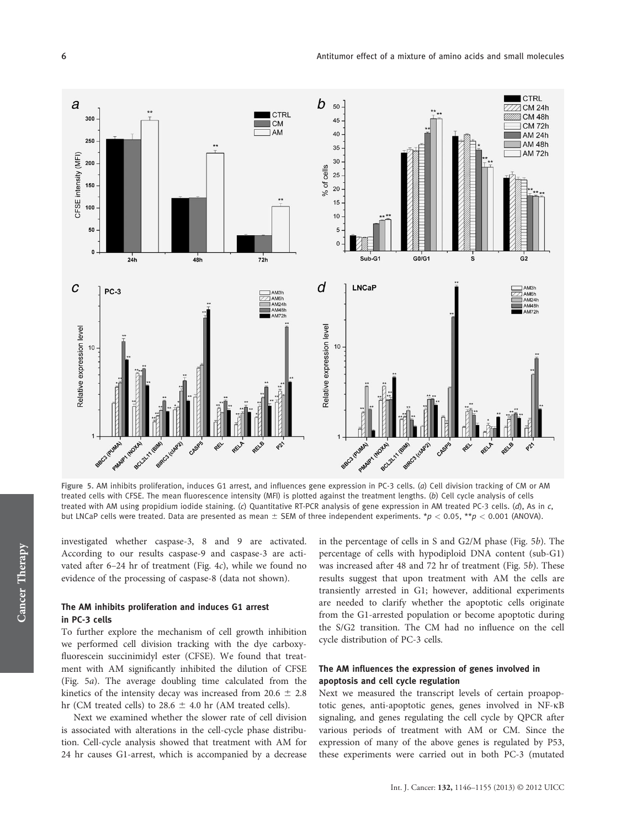

Figure 5. AM inhibits proliferation, induces G1 arrest, and influences gene expression in PC-3 cells. (a) Cell division tracking of CM or AM treated cells with CFSE. The mean fluorescence intensity (MFI) is plotted against the treatment lengths. (b) Cell cycle analysis of cells treated with AM using propidium iodide staining. (c) Quantitative RT-PCR analysis of gene expression in AM treated PC-3 cells. (d), As in c, but LNCaP cells were treated. Data are presented as mean  $\pm$  SEM of three independent experiments. \*p < 0.05, \*\*p < 0.001 (ANOVA).

Cancer Therapy Cancer Therapy investigated whether caspase-3, 8 and 9 are activated. According to our results caspase-9 and caspase-3 are activated after 6–24 hr of treatment (Fig. 4c), while we found no evidence of the processing of caspase-8 (data not shown).

#### The AM inhibits proliferation and induces G1 arrest in PC-3 cells

To further explore the mechanism of cell growth inhibition we performed cell division tracking with the dye carboxyfluorescein succinimidyl ester (CFSE). We found that treatment with AM significantly inhibited the dilution of CFSE (Fig. 5a). The average doubling time calculated from the kinetics of the intensity decay was increased from  $20.6 \pm 2.8$ hr (CM treated cells) to  $28.6 \pm 4.0$  hr (AM treated cells).

Next we examined whether the slower rate of cell division is associated with alterations in the cell-cycle phase distribution. Cell-cycle analysis showed that treatment with AM for 24 hr causes G1-arrest, which is accompanied by a decrease in the percentage of cells in S and G2/M phase (Fig. 5b). The percentage of cells with hypodiploid DNA content (sub-G1) was increased after 48 and 72 hr of treatment (Fig. 5b). These results suggest that upon treatment with AM the cells are transiently arrested in G1; however, additional experiments are needed to clarify whether the apoptotic cells originate from the G1-arrested population or become apoptotic during the S/G2 transition. The CM had no influence on the cell cycle distribution of PC-3 cells.

# The AM influences the expression of genes involved in apoptosis and cell cycle regulation

Next we measured the transcript levels of certain proapoptotic genes, anti-apoptotic genes, genes involved in NF-KB signaling, and genes regulating the cell cycle by QPCR after various periods of treatment with AM or CM. Since the expression of many of the above genes is regulated by P53, these experiments were carried out in both PC-3 (mutated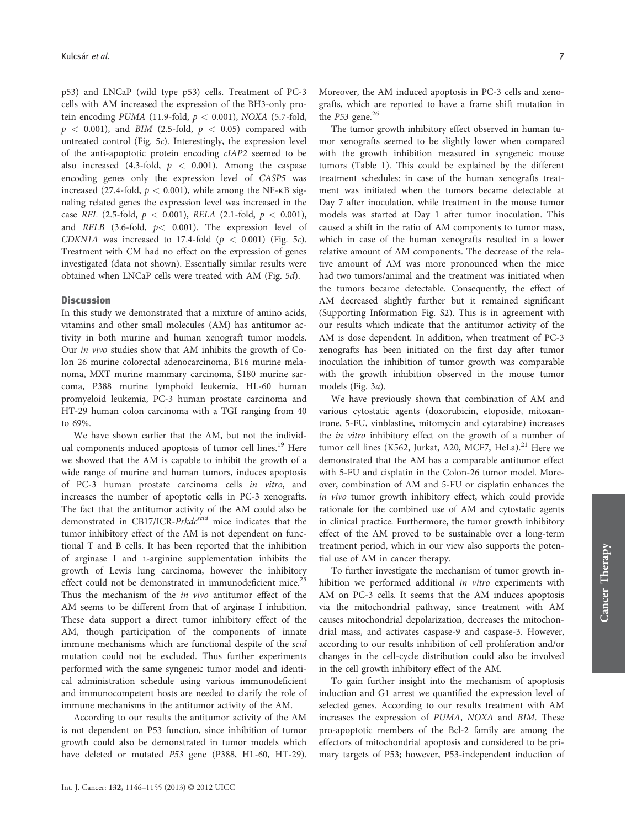p53) and LNCaP (wild type p53) cells. Treatment of PC-3 cells with AM increased the expression of the BH3-only protein encoding PUMA (11.9-fold,  $p < 0.001$ ), NOXA (5.7-fold,  $p < 0.001$ ), and BIM (2.5-fold,  $p < 0.05$ ) compared with untreated control (Fig. 5c). Interestingly, the expression level of the anti-apoptotic protein encoding cIAP2 seemed to be also increased (4.3-fold,  $p < 0.001$ ). Among the caspase encoding genes only the expression level of CASP5 was increased (27.4-fold,  $p < 0.001$ ), while among the NF- $\kappa$ B signaling related genes the expression level was increased in the case REL (2.5-fold,  $p < 0.001$ ), RELA (2.1-fold,  $p < 0.001$ ), and RELB (3.6-fold,  $p < 0.001$ ). The expression level of CDKN1A was increased to 17.4-fold ( $p < 0.001$ ) (Fig. 5c). Treatment with CM had no effect on the expression of genes investigated (data not shown). Essentially similar results were obtained when LNCaP cells were treated with AM (Fig. 5d).

#### **Discussion**

In this study we demonstrated that a mixture of amino acids, vitamins and other small molecules (AM) has antitumor activity in both murine and human xenograft tumor models. Our in vivo studies show that AM inhibits the growth of Colon 26 murine colorectal adenocarcinoma, B16 murine melanoma, MXT murine mammary carcinoma, S180 murine sarcoma, P388 murine lymphoid leukemia, HL-60 human promyeloid leukemia, PC-3 human prostate carcinoma and HT-29 human colon carcinoma with a TGI ranging from 40 to 69%.

We have shown earlier that the AM, but not the individual components induced apoptosis of tumor cell lines.<sup>19</sup> Here we showed that the AM is capable to inhibit the growth of a wide range of murine and human tumors, induces apoptosis of PC-3 human prostate carcinoma cells in vitro, and increases the number of apoptotic cells in PC-3 xenografts. The fact that the antitumor activity of the AM could also be demonstrated in CB17/ICR-Prkdc<sup>scid</sup> mice indicates that the tumor inhibitory effect of the AM is not dependent on functional T and B cells. It has been reported that the inhibition of arginase I and L-arginine supplementation inhibits the growth of Lewis lung carcinoma, however the inhibitory effect could not be demonstrated in immunodeficient mice.<sup>25</sup> Thus the mechanism of the in vivo antitumor effect of the AM seems to be different from that of arginase I inhibition. These data support a direct tumor inhibitory effect of the AM, though participation of the components of innate immune mechanisms which are functional despite of the scid mutation could not be excluded. Thus further experiments performed with the same syngeneic tumor model and identical administration schedule using various immunodeficient and immunocompetent hosts are needed to clarify the role of immune mechanisms in the antitumor activity of the AM.

According to our results the antitumor activity of the AM is not dependent on P53 function, since inhibition of tumor growth could also be demonstrated in tumor models which have deleted or mutated P53 gene (P388, HL-60, HT-29). Moreover, the AM induced apoptosis in PC-3 cells and xenografts, which are reported to have a frame shift mutation in the  $P53$  gene.<sup>26</sup>

The tumor growth inhibitory effect observed in human tumor xenografts seemed to be slightly lower when compared with the growth inhibition measured in syngeneic mouse tumors (Table 1). This could be explained by the different treatment schedules: in case of the human xenografts treatment was initiated when the tumors became detectable at Day 7 after inoculation, while treatment in the mouse tumor models was started at Day 1 after tumor inoculation. This caused a shift in the ratio of AM components to tumor mass, which in case of the human xenografts resulted in a lower relative amount of AM components. The decrease of the relative amount of AM was more pronounced when the mice had two tumors/animal and the treatment was initiated when the tumors became detectable. Consequently, the effect of AM decreased slightly further but it remained significant (Supporting Information Fig. S2). This is in agreement with our results which indicate that the antitumor activity of the AM is dose dependent. In addition, when treatment of PC-3 xenografts has been initiated on the first day after tumor inoculation the inhibition of tumor growth was comparable with the growth inhibition observed in the mouse tumor models (Fig. 3a).

We have previously shown that combination of AM and various cytostatic agents (doxorubicin, etoposide, mitoxantrone, 5-FU, vinblastine, mitomycin and cytarabine) increases the in vitro inhibitory effect on the growth of a number of tumor cell lines (K562, Jurkat, A20, MCF7, HeLa). $^{21}$  Here we demonstrated that the AM has a comparable antitumor effect with 5-FU and cisplatin in the Colon-26 tumor model. Moreover, combination of AM and 5-FU or cisplatin enhances the in vivo tumor growth inhibitory effect, which could provide rationale for the combined use of AM and cytostatic agents in clinical practice. Furthermore, the tumor growth inhibitory effect of the AM proved to be sustainable over a long-term treatment period, which in our view also supports the potential use of AM in cancer therapy.

To further investigate the mechanism of tumor growth inhibition we performed additional in vitro experiments with AM on PC-3 cells. It seems that the AM induces apoptosis via the mitochondrial pathway, since treatment with AM causes mitochondrial depolarization, decreases the mitochondrial mass, and activates caspase-9 and caspase-3. However, according to our results inhibition of cell proliferation and/or changes in the cell-cycle distribution could also be involved in the cell growth inhibitory effect of the AM.

To gain further insight into the mechanism of apoptosis induction and G1 arrest we quantified the expression level of selected genes. According to our results treatment with AM increases the expression of PUMA, NOXA and BIM. These pro-apoptotic members of the Bcl-2 family are among the effectors of mitochondrial apoptosis and considered to be primary targets of P53; however, P53-independent induction of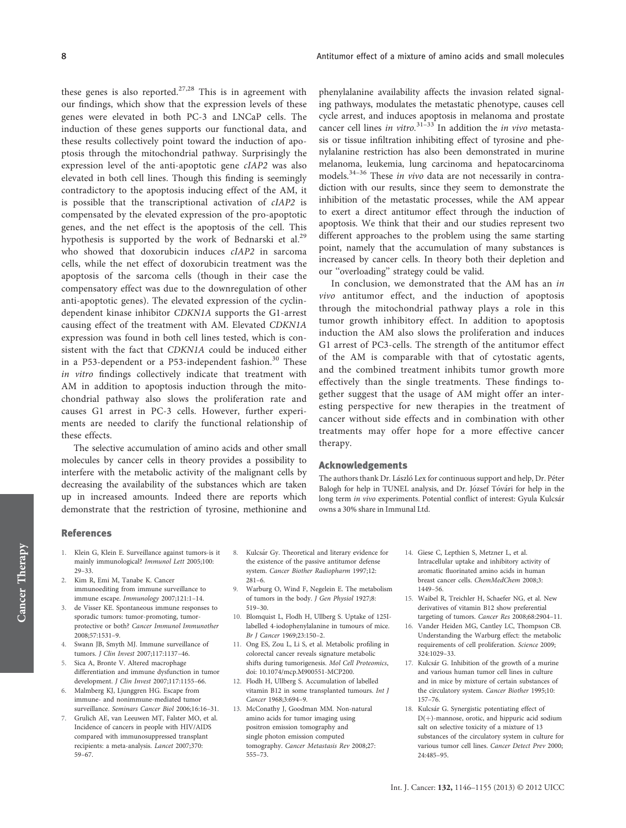these genes is also reported.<sup>27,28</sup> This is in agreement with our findings, which show that the expression levels of these genes were elevated in both PC-3 and LNCaP cells. The induction of these genes supports our functional data, and these results collectively point toward the induction of apoptosis through the mitochondrial pathway. Surprisingly the expression level of the anti-apoptotic gene cIAP2 was also elevated in both cell lines. Though this finding is seemingly contradictory to the apoptosis inducing effect of the AM, it is possible that the transcriptional activation of cIAP2 is compensated by the elevated expression of the pro-apoptotic genes, and the net effect is the apoptosis of the cell. This hypothesis is supported by the work of Bednarski et al.<sup>29</sup> who showed that doxorubicin induces cIAP2 in sarcoma cells, while the net effect of doxorubicin treatment was the apoptosis of the sarcoma cells (though in their case the compensatory effect was due to the downregulation of other anti-apoptotic genes). The elevated expression of the cyclindependent kinase inhibitor CDKN1A supports the G1-arrest causing effect of the treatment with AM. Elevated CDKN1A expression was found in both cell lines tested, which is consistent with the fact that CDKN1A could be induced either in a P53-dependent or a P53-independent fashion.<sup>30</sup> These in vitro findings collectively indicate that treatment with AM in addition to apoptosis induction through the mitochondrial pathway also slows the proliferation rate and causes G1 arrest in PC-3 cells. However, further experiments are needed to clarify the functional relationship of these effects.

The selective accumulation of amino acids and other small molecules by cancer cells in theory provides a possibility to interfere with the metabolic activity of the malignant cells by decreasing the availability of the substances which are taken up in increased amounts. Indeed there are reports which demonstrate that the restriction of tyrosine, methionine and

phenylalanine availability affects the invasion related signaling pathways, modulates the metastatic phenotype, causes cell cycle arrest, and induces apoptosis in melanoma and prostate cancer cell lines in vitro. $31-33$  In addition the *in vivo* metastasis or tissue infiltration inhibiting effect of tyrosine and phenylalanine restriction has also been demonstrated in murine melanoma, leukemia, lung carcinoma and hepatocarcinoma models.<sup>34-36</sup> These in vivo data are not necessarily in contradiction with our results, since they seem to demonstrate the inhibition of the metastatic processes, while the AM appear to exert a direct antitumor effect through the induction of apoptosis. We think that their and our studies represent two different approaches to the problem using the same starting point, namely that the accumulation of many substances is increased by cancer cells. In theory both their depletion and our ''overloading'' strategy could be valid.

In conclusion, we demonstrated that the AM has an in vivo antitumor effect, and the induction of apoptosis through the mitochondrial pathway plays a role in this tumor growth inhibitory effect. In addition to apoptosis induction the AM also slows the proliferation and induces G1 arrest of PC3-cells. The strength of the antitumor effect of the AM is comparable with that of cytostatic agents, and the combined treatment inhibits tumor growth more effectively than the single treatments. These findings together suggest that the usage of AM might offer an interesting perspective for new therapies in the treatment of cancer without side effects and in combination with other treatments may offer hope for a more effective cancer therapy.

#### Acknowledgements

The authors thank Dr. László Lex for continuous support and help, Dr. Péter Balogh for help in TUNEL analysis, and Dr. József Tóvári for help in the long term in vivo experiments. Potential conflict of interest: Gyula Kulcsár owns a 30% share in Immunal Ltd.

#### References

- 1. Klein G, Klein E. Surveillance against tumors-is it mainly immunological? Immunol Lett 2005;100: 29–33.
- 2. Kim R, Emi M, Tanabe K. Cancer immunoediting from immune surveillance to immune escape. Immunology 2007;121:1–14.
- 3. de Visser KE. Spontaneous immune responses to sporadic tumors: tumor-promoting, tumorprotective or both? Cancer Immunol Immunother 2008;57:1531–9.
- 4. Swann JB, Smyth MJ. Immune surveillance of tumors. J Clin Invest 2007;117:1137–46.
- 5. Sica A, Bronte V. Altered macrophage differentiation and immune dysfunction in tumor development. J Clin Invest 2007;117:1155–66.
- 6. Malmberg KJ, Ljunggren HG. Escape from immune- and nonimmune-mediated tumor surveillance. Seminars Cancer Biol 2006;16:16–31.
- 7. Grulich AE, van Leeuwen MT, Falster MO, et al. Incidence of cancers in people with HIV/AIDS compared with immunosuppressed transplant recipients: a meta-analysis. Lancet 2007;370: 59–67.
- 8. Kulcsár Gy. Theoretical and literary evidence for the existence of the passive antitumor defense system. Cancer Biother Radiopharm 1997;12: 281–6.
- 9. Warburg O, Wind F, Negelein E. The metabolism of tumors in the body. J Gen Physiol 1927;8: 519–30.
- 10. Blomquist L, Flodh H, Ullberg S. Uptake of 125Ilabelled 4-iodophenylalanine in tumours of mice. Br J Cancer 1969;23:150–2.
- 11. Ong ES, Zou L, Li S, et al. Metabolic profiling in colorectal cancer reveals signature metabolic shifts during tumorigenesis. Mol Cell Proteomics, doi: 10.1074/mcp.M900551-MCP200.
- 12. Flodh H, Ullberg S. Accumulation of labelled vitamin B12 in some transplanted tumours. Int J Cancer 1968;3:694–9.
- 13. McConathy J, Goodman MM. Non-natural amino acids for tumor imaging using positron emission tomography and single photon emission computed tomography. Cancer Metastasis Rev 2008;27: 555–73.
- 14. Giese C, Lepthien S, Metzner L, et al. Intracellular uptake and inhibitory activity of aromatic fluorinated amino acids in human breast cancer cells. ChemMedChem 2008;3: 1449–56.
- 15. Waibel R, Treichler H, Schaefer NG, et al. New derivatives of vitamin B12 show preferential targeting of tumors. Cancer Res 2008;68:2904–11.
- 16. Vander Heiden MG, Cantley LC, Thompson CB. Understanding the Warburg effect: the metabolic requirements of cell proliferation. Science 2009; 324:1029–33.
- 17. Kulcsár G. Inhibition of the growth of a murine and various human tumor cell lines in culture and in mice by mixture of certain substances of the circulatory system. Cancer Biother 1995;10: 157–76.
- 18. Kulcsár G. Synergistic potentiating effect of  $D(+)$ -mannose, orotic, and hippuric acid sodium salt on selective toxicity of a mixture of 13 substances of the circulatory system in culture for various tumor cell lines. Cancer Detect Prev 2000; 24:485–95.